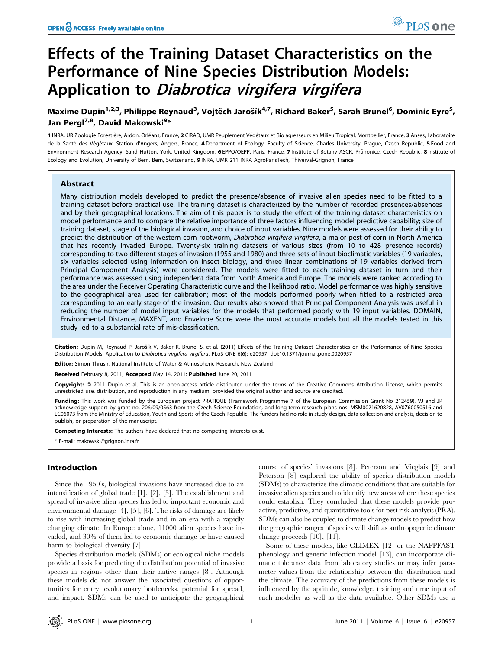# Effects of the Training Dataset Characteristics on the Performance of Nine Species Distribution Models: Application to Diabrotica virgifera virgifera

## Maxime Dupin<sup>1,2,3</sup>, Philippe Reynaud<sup>3</sup>, Vojtěch Jarošík<sup>4,7</sup>, Richard Baker<sup>5</sup>, Sarah Brunel<sup>6</sup>, Dominic Eyre<sup>5</sup>, Jan Pergl<sup>7,8</sup>, David Makowski<sup>9</sup>\*

1 INRA, UR Zoologie Forestière, Ardon, Orléans, France, 2 CIRAD, UMR Peuplement Végétaux et Bio agresseurs en Milieu Tropical, Montpellier, France, 3 Anses, Laboratoire de la Santé des Végétaux, Station d'Angers, Angers, France, 4 Department of Ecology, Faculty of Science, Charles University, Prague, Czech Republic, 5 Food and Environment Research Agency, Sand Hutton, York, United Kingdom, 6 EPPO/OEPP, Paris, France, 7 Institute of Botany ASCR, Průhonice, Czech Republic, 8 Institute of Ecology and Evolution, University of Bern, Bern, Switzerland, 9 INRA, UMR 211 INRA AgroParisTech, Thiverval-Grignon, France

## Abstract

Many distribution models developed to predict the presence/absence of invasive alien species need to be fitted to a training dataset before practical use. The training dataset is characterized by the number of recorded presences/absences and by their geographical locations. The aim of this paper is to study the effect of the training dataset characteristics on model performance and to compare the relative importance of three factors influencing model predictive capability; size of training dataset, stage of the biological invasion, and choice of input variables. Nine models were assessed for their ability to predict the distribution of the western corn rootworm, Diabrotica virgifera virgifera, a major pest of corn in North America that has recently invaded Europe. Twenty-six training datasets of various sizes (from 10 to 428 presence records) corresponding to two different stages of invasion (1955 and 1980) and three sets of input bioclimatic variables (19 variables, six variables selected using information on insect biology, and three linear combinations of 19 variables derived from Principal Component Analysis) were considered. The models were fitted to each training dataset in turn and their performance was assessed using independent data from North America and Europe. The models were ranked according to the area under the Receiver Operating Characteristic curve and the likelihood ratio. Model performance was highly sensitive to the geographical area used for calibration; most of the models performed poorly when fitted to a restricted area corresponding to an early stage of the invasion. Our results also showed that Principal Component Analysis was useful in reducing the number of model input variables for the models that performed poorly with 19 input variables. DOMAIN, Environmental Distance, MAXENT, and Envelope Score were the most accurate models but all the models tested in this study led to a substantial rate of mis-classification.

Citation: Dupin M, Reynaud P, Jarošík V, Baker R, Brunel S, et al. (2011) Effects of the Training Dataset Characteristics on the Performance of Nine Species Distribution Models: Application to Diabrotica virgifera virgifera. PLoS ONE 6(6): e20957. doi:10.1371/journal.pone.0020957

Editor: Simon Thrush, National Institute of Water & Atmospheric Research, New Zealand

Received February 8, 2011; Accepted May 14, 2011; Published June 20, 2011

Copyright: @ 2011 Dupin et al. This is an open-access article distributed under the terms of the Creative Commons Attribution License, which permits unrestricted use, distribution, and reproduction in any medium, provided the original author and source are credited.

Funding: This work was funded by the European project PRATIQUE (Framework Programme 7 of the European Commission Grant No 212459). VJ and JP acknowledge support by grant no. 206/09/0563 from the Czech Science Foundation, and long-term research plans nos. MSM0021620828, AV0Z60050516 and LC06073 from the Ministry of Education, Youth and Sports of the Czech Republic. The funders had no role in study design, data collection and analysis, decision to publish, or preparation of the manuscript.

Competing Interests: The authors have declared that no competing interests exist.

E-mail: makowski@grignon.inra.fr

## Introduction

Since the 1950's, biological invasions have increased due to an intensification of global trade [1], [2], [3]. The establishment and spread of invasive alien species has led to important economic and environmental damage [4], [5], [6]. The risks of damage are likely to rise with increasing global trade and in an era with a rapidly changing climate. In Europe alone, 11000 alien species have invaded, and 30% of them led to economic damage or have caused harm to biological diversity [7].

Species distribution models (SDMs) or ecological niche models provide a basis for predicting the distribution potential of invasive species in regions other than their native ranges [8]. Although these models do not answer the associated questions of opportunities for entry, evolutionary bottlenecks, potential for spread, and impact, SDMs can be used to anticipate the geographical course of species' invasions [8]. Peterson and Vieglais [9] and Peterson [8] explored the ability of species distribution models (SDMs) to characterize the climatic conditions that are suitable for invasive alien species and to identify new areas where these species could establish. They concluded that these models provide proactive, predictive, and quantitative tools for pest risk analysis (PRA). SDMs can also be coupled to climate change models to predict how the geographic ranges of species will shift as anthropogenic climate change proceeds [10], [11].

Some of these models, like CLIMEX [12] or the NAPPFAST phenology and generic infection model [13], can incorporate climatic tolerance data from laboratory studies or may infer parameter values from the relationship between the distribution and the climate. The accuracy of the predictions from these models is influenced by the aptitude, knowledge, training and time input of each modeller as well as the data available. Other SDMs use a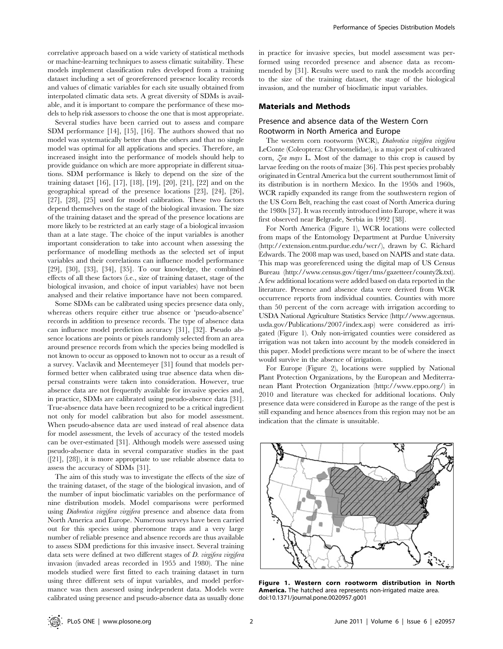correlative approach based on a wide variety of statistical methods or machine-learning techniques to assess climatic suitability. These models implement classification rules developed from a training dataset including a set of georeferenced presence locality records and values of climatic variables for each site usually obtained from interpolated climatic data sets. A great diversity of SDMs is available, and it is important to compare the performance of these models to help risk assessors to choose the one that is most appropriate.

Several studies have been carried out to assess and compare SDM performance [14], [15], [16]. The authors showed that no model was systematically better than the others and that no single model was optimal for all applications and species. Therefore, an increased insight into the performance of models should help to provide guidance on which are more appropriate in different situations. SDM performance is likely to depend on the size of the training dataset [16], [17], [18], [19], [20], [21], [22] and on the geographical spread of the presence locations [23], [24], [26], [27], [28], [25] used for model calibration. These two factors depend themselves on the stage of the biological invasion. The size of the training dataset and the spread of the presence locations are more likely to be restricted at an early stage of a biological invasion than at a late stage. The choice of the input variables is another important consideration to take into account when assessing the performance of modelling methods as the selected set of input variables and their correlations can influence model performance [29], [30], [33], [34], [35]. To our knowledge, the combined effects of all these factors (i.e., size of training dataset, stage of the biological invasion, and choice of input variables) have not been analysed and their relative importance have not been compared.

Some SDMs can be calibrated using species presence data only, whereas others require either true absence or 'pseudo-absence' records in addition to presence records. The type of absence data can influence model prediction accuracy [31], [32]. Pseudo absence locations are points or pixels randomly selected from an area around presence records from which the species being modelled is not known to occur as opposed to known not to occur as a result of a survey. Vaclavik and Meentemeyer [31] found that models performed better when calibrated using true absence data when dispersal constraints were taken into consideration. However, true absence data are not frequently available for invasive species and, in practice, SDMs are calibrated using pseudo-absence data [31]. True-absence data have been recognized to be a critical ingredient not only for model calibration but also for model assessment. When pseudo-absence data are used instead of real absence data for model assessment, the levels of accuracy of the tested models can be over-estimated [31]. Although models were assessed using pseudo-absence data in several comparative studies in the past ([21], [28]), it is more appropriate to use reliable absence data to assess the accuracy of SDMs [31].

The aim of this study was to investigate the effects of the size of the training dataset, of the stage of the biological invasion, and of the number of input bioclimatic variables on the performance of nine distribution models. Model comparisons were performed using Diabrotica virgifera virgifera presence and absence data from North America and Europe. Numerous surveys have been carried out for this species using pheromone traps and a very large number of reliable presence and absence records are thus available to assess SDM predictions for this invasive insect. Several training data sets were defined at two different stages of  $D$ . virgifera virgifera invasion (invaded areas recorded in 1955 and 1980). The nine models studied were first fitted to each training dataset in turn using three different sets of input variables, and model performance was then assessed using independent data. Models were calibrated using presence and pseudo-absence data as usually done

in practice for invasive species, but model assessment was performed using recorded presence and absence data as recommended by [31]. Results were used to rank the models according to the size of the training dataset, the stage of the biological invasion, and the number of bioclimatic input variables.

## Materials and Methods

## Presence and absence data of the Western Corn Rootworm in North America and Europe

The western corn rootworm (WCR), Diabrotica virgifera virgifera LeConte (Coleoptera: Chrysomelidae), is a major pest of cultivated corn, Zea mays L. Most of the damage to this crop is caused by larvae feeding on the roots of maize [36]. This pest species probably originated in Central America but the current southernmost limit of its distribution is in northern Mexico. In the 1950s and 1960s, WCR rapidly expanded its range from the southwestern region of the US Corn Belt, reaching the east coast of North America during the 1980s [37]. It was recently introduced into Europe, where it was first observed near Belgrade, Serbia in 1992 [38].

For North America (Figure 1), WCR locations were collected from maps of the Entomology Department at Purdue University (http://extension.entm.purdue.edu/wcr/), drawn by C. Richard Edwards. The 2008 map was used, based on NAPIS and state data. This map was georeferenced using the digital map of US Census Bureau (http://www.census.gov/tiger/tms/gazetteer/county2k.txt). A few additional locations were added based on data reported in the literature. Presence and absence data were derived from WCR occurrence reports from individual counties. Counties with more than 50 percent of the corn acreage with irrigation according to USDA National Agriculture Statistics Service (http://www.agcensus. usda.gov/Publications/2007/index.asp) were considered as irrigated (Figure 1). Only non-irrigated counties were considered as irrigation was not taken into account by the models considered in this paper. Model predictions were meant to be of where the insect would survive in the absence of irrigation.

For Europe (Figure 2), locations were supplied by National Plant Protection Organizations, by the European and Mediterranean Plant Protection Organization (http://www.eppo.org/) in 2010 and literature was checked for additional locations. Only presence data were considered in Europe as the range of the pest is still expanding and hence absences from this region may not be an indication that the climate is unsuitable.



Figure 1. Western corn rootworm distribution in North America. The hatched area represents non-irrigated maize area. doi:10.1371/journal.pone.0020957.g001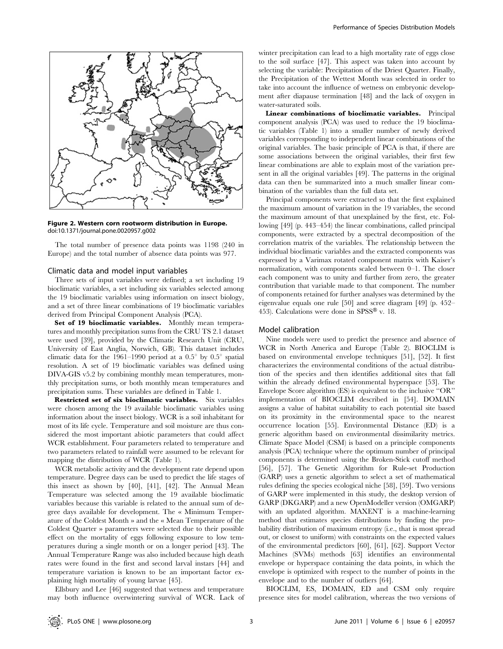

Figure 2. Western corn rootworm distribution in Europe. doi:10.1371/journal.pone.0020957.g002

The total number of presence data points was 1198 (240 in Europe) and the total number of absence data points was 977.

#### Climatic data and model input variables

Three sets of input variables were defined; a set including 19 bioclimatic variables, a set including six variables selected among the 19 bioclimatic variables using information on insect biology, and a set of three linear combinations of 19 bioclimatic variables derived from Principal Component Analysis (PCA).

Set of 19 bioclimatic variables. Monthly mean temperatures and monthly precipitation sums from the CRU TS 2.1 dataset were used [39], provided by the Climatic Research Unit (CRU, University of East Anglia, Norwich, GB). This dataset includes climatic data for the 1961–1990 period at a  $0.5^{\circ}$  by  $0.5^{\circ}$  spatial resolution. A set of 19 bioclimatic variables was defined using DIVA-GIS v5.2 by combining monthly mean temperatures, monthly precipitation sums, or both monthly mean temperatures and precipitation sums. These variables are defined in Table 1.

Restricted set of six bioclimatic variables. Six variables were chosen among the 19 available bioclimatic variables using information about the insect biology. WCR is a soil inhabitant for most of its life cycle. Temperature and soil moisture are thus considered the most important abiotic parameters that could affect WCR establishment. Four parameters related to temperature and two parameters related to rainfall were assumed to be relevant for mapping the distribution of WCR (Table 1).

WCR metabolic activity and the development rate depend upon temperature. Degree days can be used to predict the life stages of this insect as shown by [40], [41], [42]. The Annual Mean Temperature was selected among the 19 available bioclimatic variables because this variable is related to the annual sum of degree days available for development. The « Minimum Temperature of the Coldest Month » and the « Mean Temperature of the Coldest Quarter » parameters were selected due to their possible effect on the mortality of eggs following exposure to low temperatures during a single month or on a longer period [43]. The Annual Temperature Range was also included because high death rates were found in the first and second larval instars [44] and temperature variation is known to be an important factor explaining high mortality of young larvae [45].

Ellsbury and Lee [46] suggested that wetness and temperature may both influence overwintering survival of WCR. Lack of winter precipitation can lead to a high mortality rate of eggs close to the soil surface [47]. This aspect was taken into account by selecting the variable: Precipitation of the Driest Quarter. Finally, the Precipitation of the Wettest Month was selected in order to take into account the influence of wetness on embryonic development after diapause termination [48] and the lack of oxygen in water-saturated soils.

Linear combinations of bioclimatic variables. Principal component analysis (PCA) was used to reduce the 19 bioclimatic variables (Table 1) into a smaller number of newly derived variables corresponding to independent linear combinations of the original variables. The basic principle of PCA is that, if there are some associations between the original variables, their first few linear combinations are able to explain most of the variation present in all the original variables [49]. The patterns in the original data can then be summarized into a much smaller linear combination of the variables than the full data set.

Principal components were extracted so that the first explained the maximum amount of variation in the 19 variables, the second the maximum amount of that unexplained by the first, etc. Following [49] (p. 443–454) the linear combinations, called principal components, were extracted by a spectral decomposition of the correlation matrix of the variables. The relationship between the individual bioclimatic variables and the extracted components was expressed by a Varimax rotated component matrix with Kaiser's normalization, with components scaled between 0–1. The closer each component was to unity and further from zero, the greater contribution that variable made to that component. The number of components retained for further analyses was determined by the eigenvalue equals one rule [50] and scree diagram [49] (p. 452– 453). Calculations were done in  $SPSS^{\circledR}$  v. 18.

#### Model calibration

Nine models were used to predict the presence and absence of WCR in North America and Europe (Table 2). BIOCLIM is based on environmental envelope techniques [51], [52]. It first characterizes the environmental conditions of the actual distribution of the species and then identifies additional sites that fall within the already defined environmental hyperspace [53]. The Envelope Score algorithm (ES) is equivalent to the inclusive ''OR'' implementation of BIOCLIM described in [54]. DOMAIN assigns a value of habitat suitability to each potential site based on its proximity in the environmental space to the nearest occurrence location [55]. Environmental Distance (ED) is a generic algorithm based on environmental dissimilarity metrics. Climate Space Model (CSM) is based on a principle components analysis (PCA) technique where the optimum number of principal components is determined using the Broken-Stick cutoff method [56], [57]. The Genetic Algorithm for Rule-set Production (GARP) uses a genetic algorithm to select a set of mathematical rules defining the species ecological niche [58], [59]. Two versions of GARP were implemented in this study, the desktop version of GARP (DKGARP) and a new OpenModeller version (OMGARP) with an updated algorithm. MAXENT is a machine-learning method that estimates species distributions by finding the probability distribution of maximum entropy (i.e., that is most spread out, or closest to uniform) with constraints on the expected values of the environmental predictors [60], [61], [62]. Support Vector Machines (SVMs) methods [63] identifies an environmental envelope or hyperspace containing the data points, in which the envelope is optimized with respect to the number of points in the envelope and to the number of outliers [64].

BIOCLIM, ES, DOMAIN, ED and CSM only require presence sites for model calibration, whereas the two versions of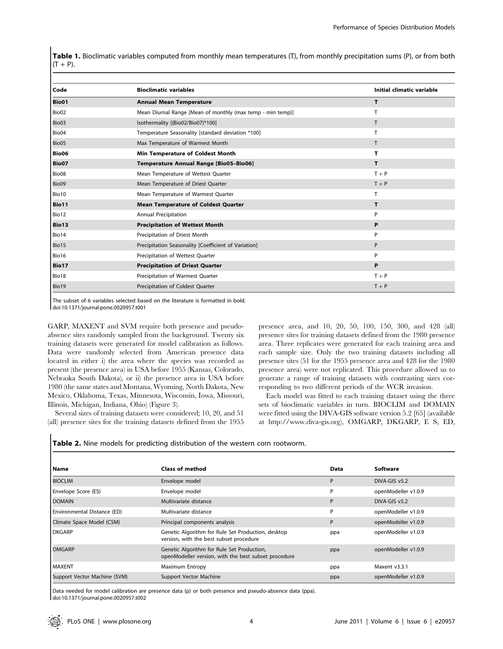Table 1. Bioclimatic variables computed from monthly mean temperatures (T), from monthly precipitation sums (P), or from both  $(T + P)$ .

| Code  | <b>Bioclimatic variables</b>                               | Initial climatic variable |
|-------|------------------------------------------------------------|---------------------------|
| Bio01 | <b>Annual Mean Temperature</b>                             | T                         |
| Bio02 | Mean Diurnal Range [Mean of monthly (max temp - min temp)] |                           |
| Bio03 | Isothermality [(Bio02/Bio07)*100]                          | T                         |
| Bio04 | Temperature Seasonality [standard deviation *100]          | т                         |
| Bio05 | Max Temperature of Warmest Month                           | T.                        |
| Bio06 | <b>Min Temperature of Coldest Month</b>                    | т                         |
| Bio07 | <b>Temperature Annual Range [Bio05-Bio06]</b>              | T                         |
| Bio08 | Mean Temperature of Wettest Quarter                        | $T + P$                   |
| Bio09 | Mean Temperature of Driest Quarter                         | $T + P$                   |
| Bio10 | Mean Temperature of Warmest Quarter                        |                           |
| Bio11 | <b>Mean Temperature of Coldest Quarter</b>                 | т                         |
| Bio12 | Annual Precipitation                                       | P                         |
| Bio13 | <b>Precipitation of Wettest Month</b>                      | P                         |
| Bio14 | Precipitation of Driest Month                              | P                         |
| Bio15 | Precipitation Seasonality [Coefficient of Variation]       | P                         |
| Bio16 | Precipitation of Wettest Quarter                           | P                         |
| Bio17 | <b>Precipitation of Driest Quarter</b>                     | P                         |
| Bio18 | Precipitation of Warmest Quarter                           | $T + P$                   |
| Bio19 | Precipitation of Coldest Quarter                           | $T + P$                   |
|       |                                                            |                           |

The subset of 6 variables selected based on the literature is formatted in bold. doi:10.1371/journal.pone.0020957.t001

GARP, MAXENT and SVM require both presence and pseudoabsence sites randomly sampled from the background. Twenty six training datasets were generated for model calibration as follows. Data were randomly selected from American presence data located in either i) the area where the species was recorded as present (the presence area) in USA before 1955 (Kansas, Colorado, Nebraska South Dakota), or ii) the presence area in USA before 1980 (the same states and Montana, Wyoming, North Dakota, New Mexico, Oklahoma, Texas, Minnesota, Wisconsin, Iowa, Missouri, Illinois, Michigan, Indiana, Ohio) (Figure 3).

Several sizes of training datasets were considered; 10, 20, and 51 (all) presence sites for the training datasets defined from the 1955 presence area, and 10, 20, 50, 100, 150, 300, and 428 (all) presence sites for training datasets defined from the 1980 presence area. Three replicates were generated for each training area and each sample size. Only the two training datasets including all presence sites (51 for the 1955 presence area and 428 for the 1980 presence area) were not replicated. This procedure allowed us to generate a range of training datasets with contrasting sizes corresponding to two different periods of the WCR invasion.

Each model was fitted to each training dataset using the three sets of bioclimatic variables in turn. BIOCLIM and DOMAIN were fitted using the DIVA-GIS software version 5.2 [65] (available at http://www.diva-gis.org), OMGARP, DKGARP, E S, ED,

| Table 2. Nine models for predicting distribution of the western corn rootworm. |  |  |  |  |  |  |
|--------------------------------------------------------------------------------|--|--|--|--|--|--|
|--------------------------------------------------------------------------------|--|--|--|--|--|--|

| l Name                       | <b>Class of method</b>                                                                             | Data | Software            |
|------------------------------|----------------------------------------------------------------------------------------------------|------|---------------------|
| <b>BIOCLIM</b>               | Envelope model                                                                                     | P    | DIVA-GIS v5.2       |
| Envelope Score (ES)          | Envelope model                                                                                     | P    | openModeller v1.0.9 |
| <b>DOMAIN</b>                | Multivariate distance                                                                              | P    | DIVA-GIS v5.2       |
| Environmental Distance (ED)  | Multivariate distance                                                                              | P    | openModeller v1.0.9 |
| Climate Space Model (CSM)    | Principal components analysis                                                                      | P    | openModeller v1.0.9 |
| <b>DKGARP</b>                | Genetic Algorithm for Rule Set Production, desktop<br>version, with the best subset procedure      | ppa  | openModeller v1.0.9 |
| <b>OMGARP</b>                | Genetic Algorithm for Rule Set Production,<br>openModeller version, with the best subset procedure | ppa  | openModeller v1.0.9 |
| <b>MAXENT</b>                | Maximum Entropy                                                                                    | ppa  | Maxent v3.3.1       |
| Support Vector Machine (SVM) | Support Vector Machine                                                                             | ppa  | openModeller v1.0.9 |

Data needed for model calibration are presence data (p) or both presence and pseudo-absence data (ppa). doi:10.1371/journal.pone.0020957.t002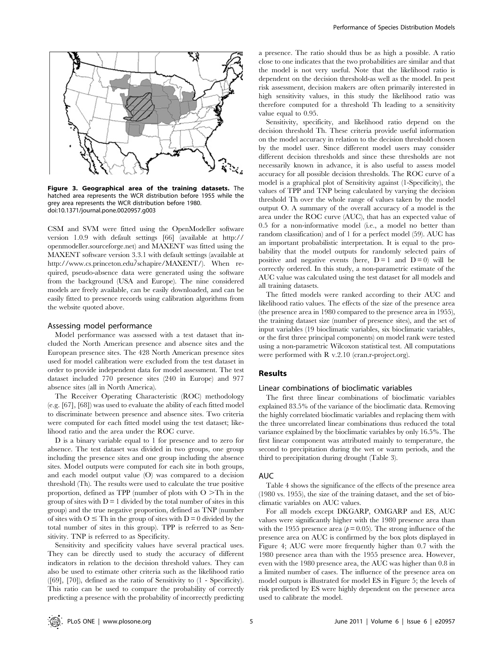

Figure 3. Geographical area of the training datasets. The hatched area represents the WCR distribution before 1955 while the grey area represents the WCR distribution before 1980. doi:10.1371/journal.pone.0020957.g003

CSM and SVM were fitted using the OpenModeller software version 1.0.9 with default settings [66] (available at http:// openmodeller.sourceforge.net) and MAXENT was fitted using the MAXENT software version 3.3.1 with default settings (available at http://www.cs.princeton.edu/schapire/MAXENT/). When required, pseudo-absence data were generated using the software from the background (USA and Europe). The nine considered models are freely available, can be easily downloaded, and can be easily fitted to presence records using calibration algorithms from the website quoted above.

#### Assessing model performance

Model performance was assessed with a test dataset that included the North American presence and absence sites and the European presence sites. The 428 North American presence sites used for model calibration were excluded from the test dataset in order to provide independent data for model assessment. The test dataset included 770 presence sites (240 in Europe) and 977 absence sites (all in North America).

The Receiver Operating Characteristic (ROC) methodology (e.g. [67], [68]) was used to evaluate the ability of each fitted model to discriminate between presence and absence sites. Two criteria were computed for each fitted model using the test dataset; likelihood ratio and the area under the ROC curve.

D is a binary variable equal to 1 for presence and to zero for absence. The test dataset was divided in two groups, one group including the presence sites and one group including the absence sites. Model outputs were computed for each site in both groups, and each model output value (O) was compared to a decision threshold (Th). The results were used to calculate the true positive proportion, defined as TPP (number of plots with  $O$   $>$ Th in the group of sites with  $D = 1$  divided by the total number of sites in this group) and the true negative proportion, defined as TNP (number of sites with  $O \leq Th$  in the group of sites with  $D = 0$  divided by the total number of sites in this group). TPP is referred to as Sensitivity. TNP is referred to as Specificity.

Sensitivity and specificity values have several practical uses. They can be directly used to study the accuracy of different indicators in relation to the decision threshold values. They can also be used to estimate other criteria such as the likelihood ratio ([69], [70]), defined as the ratio of Sensitivity to (1 - Specificity). This ratio can be used to compare the probability of correctly predicting a presence with the probability of incorrectly predicting a presence. The ratio should thus be as high a possible. A ratio close to one indicates that the two probabilities are similar and that the model is not very useful. Note that the likelihood ratio is dependent on the decision threshold-as well as the model. In pest risk assessment, decision makers are often primarily interested in high sensitivity values, in this study the likelihood ratio was therefore computed for a threshold Th leading to a sensitivity value equal to 0.95.

Sensitivity, specificity, and likelihood ratio depend on the decision threshold Th. These criteria provide useful information on the model accuracy in relation to the decision threshold chosen by the model user. Since different model users may consider different decision thresholds and since these thresholds are not necessarily known in advance, it is also useful to assess model accuracy for all possible decision thresholds. The ROC curve of a model is a graphical plot of Sensitivity against (1-Specificity), the values of TPP and TNP being calculated by varying the decision threshold Th over the whole range of values taken by the model output O. A summary of the overall accuracy of a model is the area under the ROC curve (AUC), that has an expected value of 0.5 for a non-informative model (i.e., a model no better than random classification) and of 1 for a perfect model (59). AUC has an important probabilistic interpretation. It is equal to the probability that the model outputs for randomly selected pairs of positive and negative events (here,  $D = 1$  and  $D = 0$ ) will be correctly ordered. In this study, a non-parametric estimate of the AUC value was calculated using the test dataset for all models and all training datasets.

The fitted models were ranked according to their AUC and likelihood ratio values. The effects of the size of the presence area (the presence area in 1980 compared to the presence area in 1955), the training dataset size (number of presence sites), and the set of input variables (19 bioclimatic variables, six bioclimatic variables, or the first three principal components) on model rank were tested using a non-parametric Wilcoxon statistical test. All computations were performed with R v.2.10 (cran.r-project.org).

#### Results

## Linear combinations of bioclimatic variables

The first three linear combinations of bioclimatic variables explained 83.5% of the variance of the bioclimatic data. Removing the highly correlated bioclimatic variables and replacing them with the three uncorrelated linear combinations thus reduced the total variance explained by the bioclimatic variables by only 16.5%. The first linear component was attributed mainly to temperature, the second to precipitation during the wet or warm periods, and the third to precipitation during drought (Table 3).

#### AUC

Table 4 shows the significance of the effects of the presence area (1980 vs. 1955), the size of the training dataset, and the set of bioclimatic variables on AUC values.

For all models except DKGARP, OMGARP and ES, AUC values were significantly higher with the 1980 presence area than with the 1955 presence area  $(p= 0.05)$ . The strong influence of the presence area on AUC is confirmed by the box plots displayed in Figure 4; AUC were more frequently higher than 0.7 with the 1980 presence area than with the 1955 presence area. However, even with the 1980 presence area, the AUC was higher than 0.8 in a limited number of cases. The influence of the presence area on model outputs is illustrated for model ES in Figure 5; the levels of risk predicted by ES were highly dependent on the presence area used to calibrate the model.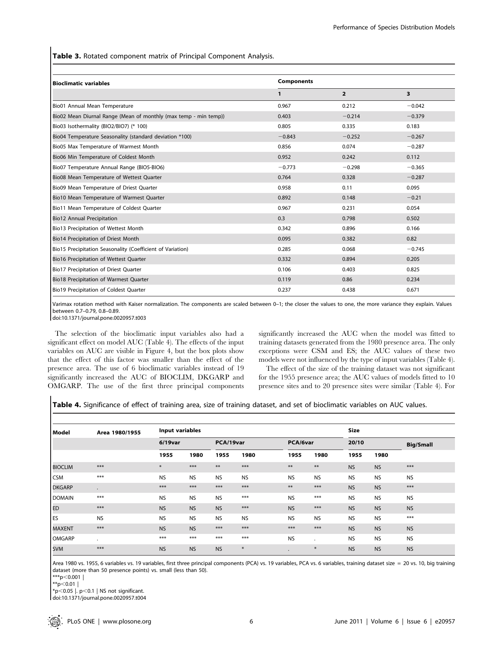Table 3. Rotated component matrix of Principal Component Analysis.

| <b>Bioclimatic variables</b>                                     | <b>Components</b> |                |          |  |  |  |
|------------------------------------------------------------------|-------------------|----------------|----------|--|--|--|
|                                                                  | 1                 | $\overline{2}$ | 3        |  |  |  |
| Bio01 Annual Mean Temperature                                    | 0.967             | 0.212          | $-0.042$ |  |  |  |
| Bio02 Mean Diurnal Range (Mean of monthly (max temp - min temp)) | 0.403             | $-0.214$       | $-0.379$ |  |  |  |
| Bio03 Isothermality (BIO2/BIO7) (* 100)                          | 0.805             | 0.335          | 0.183    |  |  |  |
| Bio04 Temperature Seasonality (standard deviation *100)          | $-0.843$          | $-0.252$       | $-0.267$ |  |  |  |
| Bio05 Max Temperature of Warmest Month                           | 0.856             | 0.074          | $-0.287$ |  |  |  |
| Bio06 Min Temperature of Coldest Month                           | 0.952             | 0.242          | 0.112    |  |  |  |
| Bio07 Temperature Annual Range (BIO5-BIO6)                       | $-0.773$          | $-0.298$       | $-0.365$ |  |  |  |
| Bio08 Mean Temperature of Wettest Quarter                        | 0.764             | 0.328          | $-0.287$ |  |  |  |
| Bio09 Mean Temperature of Driest Quarter                         | 0.958             | 0.11           | 0.095    |  |  |  |
| Bio10 Mean Temperature of Warmest Quarter                        | 0.892             | 0.148          | $-0.21$  |  |  |  |
| Bio11 Mean Temperature of Coldest Quarter                        | 0.967             | 0.231          | 0.054    |  |  |  |
| <b>Bio12 Annual Precipitation</b>                                | 0.3               | 0.798          | 0.502    |  |  |  |
| Bio13 Precipitation of Wettest Month                             | 0.342             | 0.896          | 0.166    |  |  |  |
| Bio14 Precipitation of Driest Month                              | 0.095             | 0.382          | 0.82     |  |  |  |
| Bio15 Precipitation Seasonality (Coefficient of Variation)       | 0.285             | 0.068          | $-0.745$ |  |  |  |
| Bio16 Precipitation of Wettest Quarter                           | 0.332             | 0.894          | 0.205    |  |  |  |
| Bio17 Precipitation of Driest Quarter                            | 0.106             | 0.403          | 0.825    |  |  |  |
| Bio18 Precipitation of Warmest Quarter                           | 0.119             | 0.86           | 0.234    |  |  |  |
| Bio19 Precipitation of Coldest Quarter                           | 0.237             | 0.438          | 0.671    |  |  |  |

Varimax rotation method with Kaiser normalization. The components are scaled between 0–1; the closer the values to one, the more variance they explain. Values between 0.7–0.79, 0.8–0.89.

doi:10.1371/journal.pone.0020957.t003

The selection of the bioclimatic input variables also had a significant effect on model AUC (Table 4). The effects of the input variables on AUC are visible in Figure 4, but the box plots show that the effect of this factor was smaller than the effect of the presence area. The use of 6 bioclimatic variables instead of 19 significantly increased the AUC of BIOCLIM, DKGARP and OMGARP. The use of the first three principal components significantly increased the AUC when the model was fitted to training datasets generated from the 1980 presence area. The only exceptions were CSM and ES; the AUC values of these two models were not influenced by the type of input variables (Table 4).

The effect of the size of the training dataset was not significant for the 1955 presence area; the AUC values of models fitted to 10 presence sites and to 20 presence sites were similar (Table 4). For

Table 4. Significance of effect of training area, size of training dataset, and set of bioclimatic variables on AUC values.

| Model          | Area 1980/1955 | Input variables |           |           |           |           |           |           | Size      |           |  |
|----------------|----------------|-----------------|-----------|-----------|-----------|-----------|-----------|-----------|-----------|-----------|--|
|                |                | 6/19var         |           | PCA/19var |           |           | PCA/6var  |           | 20/10     |           |  |
|                |                | 1955            | 1980      | 1955      | 1980      | 1955      | 1980      | 1955      | 1980      |           |  |
| <b>BIOCLIM</b> | $***$          | $\ast$          | $***$     | $***$     | $***$     | $***$     | $***$     | <b>NS</b> | <b>NS</b> | $***$     |  |
| <b>CSM</b>     | $***$          | <b>NS</b>       | <b>NS</b> | <b>NS</b> | <b>NS</b> | <b>NS</b> | <b>NS</b> | <b>NS</b> | <b>NS</b> | <b>NS</b> |  |
| <b>DKGARP</b>  | $\bullet$      | $***$           | $***$     | $***$     | $***$     | $***$     | $***$     | <b>NS</b> | <b>NS</b> | $***$     |  |
| <b>DOMAIN</b>  | $***$          | <b>NS</b>       | <b>NS</b> | <b>NS</b> | $***$     | <b>NS</b> | $***$     | <b>NS</b> | <b>NS</b> | <b>NS</b> |  |
| ED             | $***$          | <b>NS</b>       | <b>NS</b> | <b>NS</b> | $***$     | <b>NS</b> | $***$     | <b>NS</b> | <b>NS</b> | <b>NS</b> |  |
| l ES           | <b>NS</b>      | <b>NS</b>       | <b>NS</b> | <b>NS</b> | <b>NS</b> | <b>NS</b> | <b>NS</b> | <b>NS</b> | <b>NS</b> | $***$     |  |
| <b>MAXENT</b>  | $***$          | <b>NS</b>       | <b>NS</b> | $***$     | $***$     | $***$     | $***$     | <b>NS</b> | <b>NS</b> | <b>NS</b> |  |
| <b>OMGARP</b>  | $\bullet$      | $***$           | $***$     | $***$     | $***$     | <b>NS</b> |           | <b>NS</b> | <b>NS</b> | <b>NS</b> |  |
| <b>SVM</b>     | $***$          | <b>NS</b>       | <b>NS</b> | <b>NS</b> | $\ast$    |           | $*$       | <b>NS</b> | <b>NS</b> | <b>NS</b> |  |

Area 1980 vs. 1955, 6 variables vs. 19 variables, first three principal components (PCA) vs. 19 variables, PCA vs. 6 variables, training dataset size = 20 vs. 10, big training dataset (more than 50 presence points) vs. small (less than 50).

 $***p<0.001$  |

 $*$ <sub>\*</sub> $p$ <0.01 |

 $*_{p}<$  0.05 |  $p<$  0.1 | NS not significant.

doi:10.1371/journal.pone.0020957.t004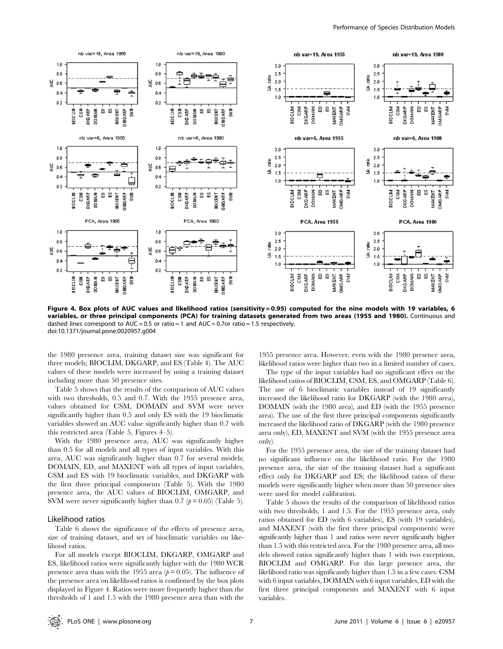

Figure 4. Box plots of AUC values and likelihood ratios (sensitivity = 0.95) computed for the nine models with 19 variables, 6 variables, or three principal components (PCA) for training datasets generated from two areas (1955 and 1980). Continuous and dashed lines correspond to  $AUC = 0.5$  or ratio = 1 and  $AUC = 0.7$ or ratio = 1.5 respectively. doi:10.1371/journal.pone.0020957.g004

the 1980 presence area, training dataset size was significant for three models; BIOCLIM, DKGARP, and ES (Table 4). The AUC values of these models were increased by using a training dataset including more than 50 presence sites.

Table 5 shows that the results of the comparison of AUC values with two thresholds, 0.5 and 0.7. With the 1955 presence area, values obtained for CSM, DOMAIN and SVM were never significantly higher than 0.5 and only ES with the 19 bioclimatic variables showed an AUC value significantly higher than 0.7 with this restricted area (Table 5, Figures 4–5).

With the 1980 presence area, AUC was significantly higher than 0.5 for all models and all types of input variables. With this area, AUC was significantly higher than 0.7 for several models; DOMAIN, ED, and MAXENT with all types of input variables, CSM and ES with 19 bioclimatic variables, and DKGARP with the first three principal components (Table 5). With the 1980 presence area, the AUC values of BIOCLIM, OMGARP, and SVM were never significantly higher than 0.7 ( $p = 0.05$ ) (Table 5).

#### Likelihood ratios

Table 6 shows the significance of the effects of presence area, size of training dataset, and set of bioclimatic variables on likelihood ratios.

For all models except BIOCLIM, DKGARP, OMGARP and ES, likelihood ratios were significantly higher with the 1980 WCR presence area than with the 1955 area  $(p=0.05)$ . The influence of the presence area on likelihood ratios is confirmed by the box plots displayed in Figure 4. Ratios were more frequently higher than the thresholds of 1 and 1.5 with the 1980 presence area than with the

1955 presence area. However, even with the 1980 presence area, likelihood ratios were higher than two in a limited number of cases.

The type of the input variables had no significant effect on the likelihood ratios of BIOCLIM, CSM, ES, and OMGARP (Table 6). The use of 6 bioclimatic variables instead of 19 significantly increased the likelihood ratio for DKGARP (with the 1980 area), DOMAIN (with the 1980 area), and ED (with the 1955 presence area). The use of the first three principal components significantly increased the likelihood ratio of DKGARP (with the 1980 presence area only), ED, MAXENT and SVM (with the 1955 presence area only).

For the 1955 presence area, the size of the training dataset had no significant influence on the likelihood ratio. For the 1980 presence area, the size of the training dataset had a significant effect only for DKGARP and ES; the likelihood ratios of these models were significantly higher when more than 50 presence sites were used for model calibration.

Table 5 shows the results of the comparison of likelihood ratios with two thresholds, 1 and 1.5. For the 1955 presence area, only ratios obtained for ED (with 6 variables), ES (with 19 variables), and MAXENT (with the first three principal components) were significantly higher than 1 and ratios were never significantly higher than 1.5 with this restricted area. For the 1980 presence area, all models showed ratios significantly higher than 1 with two exceptions, BIOCLIM and OMGARP. For this large presence area, the likelihood ratio was significantly higher than 1.5 in a few cases: CSM with 6 input variables, DOMAIN with 6 input variables, ED with the first three principal components and MAXENT with 6 input variables.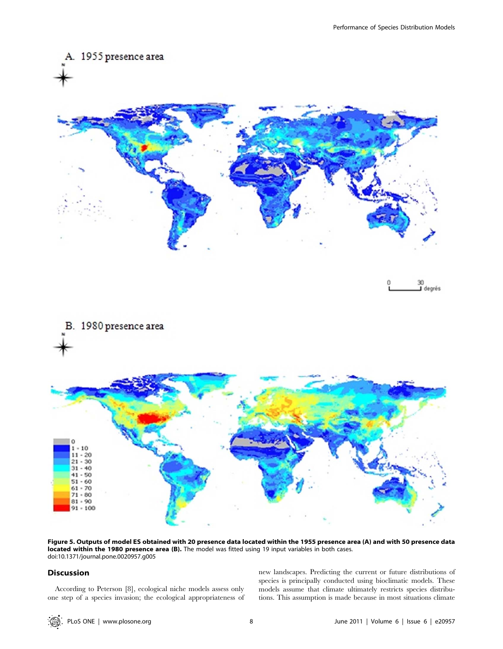

Figure 5. Outputs of model ES obtained with 20 presence data located within the 1955 presence area (A) and with 50 presence data located within the 1980 presence area (B). The model was fitted using 19 input variables in both cases. doi:10.1371/journal.pone.0020957.g005

### Discussion

According to Peterson [8], ecological niche models assess only one step of a species invasion; the ecological appropriateness of new landscapes. Predicting the current or future distributions of species is principally conducted using bioclimatic models. These models assume that climate ultimately restricts species distributions. This assumption is made because in most situations climate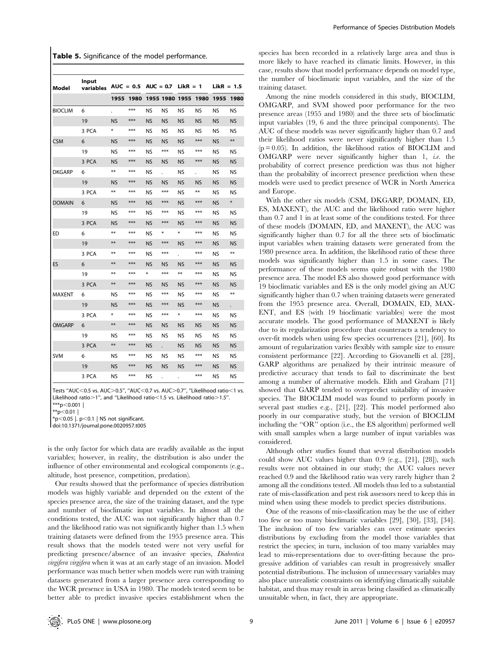Table 5. Significance of the model performance.

| Model          | Input | variables $AUC = 0.5$ $AUC = 0.7$ LikR = 1 |           |           |           |                      |           | $LikR = 1.5$   |           |
|----------------|-------|--------------------------------------------|-----------|-----------|-----------|----------------------|-----------|----------------|-----------|
|                |       |                                            | 1955 1980 |           |           | 1955 1980 1955       |           | 1980 1955 1980 |           |
| <b>BIOCLIM</b> | 6     |                                            | ***       | <b>NS</b> | <b>NS</b> | <b>NS</b>            | NS        | <b>NS</b>      | <b>NS</b> |
|                | 19    | <b>NS</b>                                  | $***$     | <b>NS</b> | <b>NS</b> | <b>NS</b>            | NS        | <b>NS</b>      | <b>NS</b> |
|                | 3 PCA | $\ast$                                     | ***       | NS        | NS        | NS                   | NS        | NS             | NS        |
| <b>CSM</b>     | 6     | <b>NS</b>                                  | ***       | <b>NS</b> | <b>NS</b> | <b>NS</b>            | ***       | <b>NS</b>      | $***$     |
|                | 19    | NS                                         | ***       | NS        | ***       | NS                   | ***       | NS             | NS        |
|                | 3 PCA | <b>NS</b>                                  | $***$     | <b>NS</b> | <b>NS</b> | <b>NS</b>            | $***$     | <b>NS</b>      | <b>NS</b> |
| <b>DKGARP</b>  | 6     | $***$                                      | ***       | NS        |           | NS                   |           | NS             | NS        |
|                | 19    | NS                                         | $***$     | <b>NS</b> | <b>NS</b> | NS                   | NS        | NS             | NS        |
|                | 3 PCA | $***$                                      | $***$     | NS        | ***       | NS                   | $***$     | NS             | NS        |
| <b>DOMAIN</b>  | 6     | <b>NS</b>                                  | ***       | <b>NS</b> | $***$     | <b>NS</b>            | ***       | <b>NS</b>      | $\ast$    |
|                | 19    | NS                                         | ***       | NS        | $***$     | NS                   | ***       | NS             | NS        |
|                | 3 PCA | <b>NS</b>                                  | $***$     | <b>NS</b> | ***       | <b>NS</b>            | ***       | <b>NS</b>      | <b>NS</b> |
| ED             | 6     | $***$                                      | ***       | NS        | ¥.        | $\ast$               | ***       | NS             | NS        |
|                | 19    | $***$                                      | $***$     | <b>NS</b> | ***       | <b>NS</b>            | ***       | <b>NS</b>      | <b>NS</b> |
|                | 3 PCA | $***$                                      | $***$     | NS        | ***       |                      | ***       | NS             | $***$     |
| ES             | 6     | $***$                                      | $***$     | <b>NS</b> | <b>NS</b> | <b>NS</b>            | ***       | <b>NS</b>      | <b>NS</b> |
|                | 19    | **                                         | $***$     | $\ast$    | ***       | $***$                | ***       | NS             | <b>NS</b> |
|                | 3 PCA | $***$                                      | ***       | <b>NS</b> | NS        | <b>NS</b>            | $***$     | <b>NS</b>      | <b>NS</b> |
| <b>MAXENT</b>  | 6     | NS                                         | ***       | NS        | ***       | <b>NS</b>            | ***       | NS             | $***$     |
|                | 19    | <b>NS</b>                                  | $***$     | <b>NS</b> | $***$     | <b>NS</b>            | ***       | <b>NS</b>      | $\cdot$   |
|                | 3 PCA | $\ast$                                     | ***       | NS        | ***       | ¥                    | ***       | NS             | NS        |
| <b>OMGARP</b>  | 6     | $***$                                      | ***       | <b>NS</b> | <b>NS</b> | <b>NS</b>            | <b>NS</b> | <b>NS</b>      | <b>NS</b> |
|                | 19    | NS                                         | ***       | NS        | <b>NS</b> | NS                   | NS        | NS             | NS        |
|                | 3 PCA | $***$                                      | $***$     | <b>NS</b> | L.        | <b>NS</b>            | <b>NS</b> | <b>NS</b>      | <b>NS</b> |
| <b>SVM</b>     | 6     | NS                                         | ***       | NS        | <b>NS</b> | <b>NS</b>            | ***       | <b>NS</b>      | <b>NS</b> |
|                | 19    | <b>NS</b>                                  | ***       | <b>NS</b> | NS        | <b>NS</b>            | ***       | <b>NS</b>      | <b>NS</b> |
|                | 3 PCA | <b>NS</b>                                  | ***       | NS        |           | $\ddot{\phantom{0}}$ | ***       | NS             | <b>NS</b> |

Tests "AUC<0.5 vs. AUC>0.5", "AUC<0.7 vs. AUC>0.7", "Likelihood ratio<1 vs. Likelihood ratio $>1''$ , and "Likelihood ratio $<$ 1.5 vs. Likelihood ratio $>$ 1.5".  $***p<0.001$  |

 $*p<0.05$  |.  $p<0.1$  | NS not significant.

doi:10.1371/journal.pone.0020957.t005

is the only factor for which data are readily available as the input variables; however, in reality, the distribution is also under the influence of other environmental and ecological components (e.g., altitude, host presence, competition, predation).

Our results showed that the performance of species distribution models was highly variable and depended on the extent of the species presence area, the size of the training dataset, and the type and number of bioclimatic input variables. In almost all the conditions tested, the AUC was not significantly higher than 0.7 and the likelihood ratio was not significantly higher than 1.5 when training datasets were defined from the 1955 presence area. This result shows that the models tested were not very useful for predicting presence/absence of an invasive species, Diabrotica virgifera virgifera when it was at an early stage of an invasion. Model performance was much better when models were run with training datasets generated from a larger presence area corresponding to the WCR presence in USA in 1980. The models tested seem to be better able to predict invasive species establishment when the

species has been recorded in a relatively large area and thus is more likely to have reached its climatic limits. However, in this case, results show that model performance depends on model type, the number of bioclimatic input variables, and the size of the training dataset.

Among the nine models considered in this study, BIOCLIM, OMGARP, and SVM showed poor performance for the two presence areas (1955 and 1980) and the three sets of bioclimatic input variables (19, 6 and the three principal components). The AUC of these models was never significantly higher than 0.7 and their likelihood ratios were never significantly higher than 1.5  $(p = 0.05)$ . In addition, the likelihood ratios of BIOCLIM and OMGARP were never significantly higher than 1, i.e. the probability of correct presence prediction was thus not higher than the probability of incorrect presence prediction when these models were used to predict presence of WCR in North America and Europe.

With the other six models (CSM, DKGARP, DOMAIN, ED, ES, MAXENT), the AUC and the likelihood ratio were higher than 0.7 and 1 in at least some of the conditions tested. For three of these models (DOMAIN, ED, and MAXENT), the AUC was significantly higher than 0.7 for all the three sets of bioclimatic input variables when training datasets were generated from the 1980 presence area. In addition, the likelihood ratio of these three models was significantly higher than 1.5 in some cases. The performance of these models seems quite robust with the 1980 presence area. The model ES also showed good performance with 19 bioclimatic variables and ES is the only model giving an AUC significantly higher than 0.7 when training datasets were generated from the 1955 presence area. Overall, DOMAIN, ED, MAX-ENT, and ES (with 19 bioclimatic variables) were the most accurate models. The good performance of MAXENT is likely due to its regularization procedure that counteracts a tendency to over-fit models when using few species occurrences [21], [60]. Its amount of regularization varies flexibly with sample size to ensure consistent performance [22]. According to Giovanelli et al. [28], GARP algorithms are penalized by their intrinsic measure of predictive accuracy that tends to fail to discriminate the best among a number of alternative models. Elith and Graham [71] showed that GARP tended to overpredict suitability of invasive species. The BIOCLIM model was found to perform poorly in several past studies e.g., [21], [22]. This model performed also poorly in our comparative study, but the version of BIOCLIM including the "OR" option (i.e., the ES algorithm) performed well with small samples when a large number of input variables was considered.

Although other studies found that several distribution models could show AUC values higher than 0.9 (e.g., [21], [28]), such results were not obtained in our study; the AUC values never reached 0.9 and the likelihood ratio was very rarely higher than 2 among all the conditions tested. All models thus led to a substantial rate of mis-classification and pest risk assessors need to keep this in mind when using these models to predict species distributions.

One of the reasons of mis-classification may be the use of either too few or too many bioclimatic variables [29], [30], [33], [34]. The inclusion of too few variables can over estimate species distributions by excluding from the model those variables that restrict the species; in turn, inclusion of too many variables may lead to mis-representations due to over-fitting because the progressive addition of variables can result in progressively smaller potential distributions. The inclusion of unnecessary variables may also place unrealistic constraints on identifying climatically suitable habitat, and thus may result in areas being classified as climatically unsuitable when, in fact, they are appropriate.

<sup>\*\*</sup>p<sup>\_</sup><0.01 |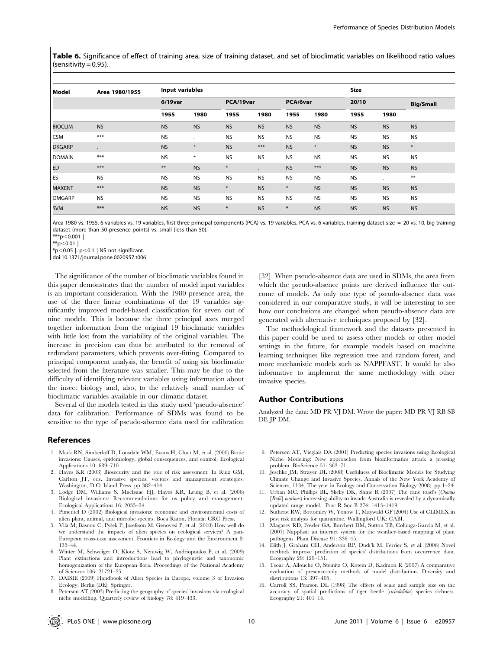Table 6. Significance of effect of training area, size of training dataset, and set of bioclimatic variables on likelihood ratio values  $(sensitivity = 0.95)$ .

| Model          | Area 1980/1955 | Input variables |           |           |                      |           |           | Size      |           |                  |
|----------------|----------------|-----------------|-----------|-----------|----------------------|-----------|-----------|-----------|-----------|------------------|
|                |                | $6/19$ var      |           | PCA/19var |                      | PCA/6var  |           | 20/10     |           | <b>Big/Small</b> |
|                |                | 1955            | 1980      | 1955      | 1980                 | 1955      | 1980      | 1955      | 1980      |                  |
| <b>BIOCLIM</b> | <b>NS</b>      | <b>NS</b>       | <b>NS</b> | <b>NS</b> | <b>NS</b>            | <b>NS</b> | <b>NS</b> | <b>NS</b> | <b>NS</b> | <b>NS</b>        |
| <b>CSM</b>     | $***$          | <b>NS</b>       | $\cdot$   | <b>NS</b> | <b>NS</b>            | <b>NS</b> | <b>NS</b> | <b>NS</b> | <b>NS</b> | <b>NS</b>        |
| <b>DKGARP</b>  | $\bullet$      | <b>NS</b>       | $\ast$    | <b>NS</b> | $***$                | <b>NS</b> | $\ast$    | <b>NS</b> | <b>NS</b> | $\ast$           |
| <b>DOMAIN</b>  | $***$          | <b>NS</b>       | $\ast$    | <b>NS</b> | <b>NS</b>            | <b>NS</b> | <b>NS</b> | <b>NS</b> | <b>NS</b> | <b>NS</b>        |
| ED             | $***$          | $***$           | <b>NS</b> | $\ast$    | $\ddot{\phantom{0}}$ | <b>NS</b> | $***$     | <b>NS</b> | <b>NS</b> | <b>NS</b>        |
| l ES           | <b>NS</b>      | <b>NS</b>       | <b>NS</b> | <b>NS</b> | <b>NS</b>            | <b>NS</b> | <b>NS</b> | <b>NS</b> | ٠         | $***$            |
| <b>MAXENT</b>  | $***$          | <b>NS</b>       | <b>NS</b> | $\ast$    | <b>NS</b>            | $\ast$    | <b>NS</b> | <b>NS</b> | <b>NS</b> | <b>NS</b>        |
| <b>OMGARP</b>  | <b>NS</b>      | <b>NS</b>       | <b>NS</b> | <b>NS</b> | <b>NS</b>            | <b>NS</b> | <b>NS</b> | <b>NS</b> | <b>NS</b> | <b>NS</b>        |
| <b>SVM</b>     | $***$          | <b>NS</b>       | <b>NS</b> | $\ast$    | <b>NS</b>            | $\ast$    | <b>NS</b> | <b>NS</b> | <b>NS</b> | <b>NS</b>        |

Area 1980 vs. 1955, 6 variables vs. 19 variables, first three principal components (PCA) vs. 19 variables, PCA vs. 6 variables, training dataset size = 20 vs. 10, big training dataset (more than 50 presence points) vs. small (less than 50).

 $***o<0.001$  |

 $*$  $p$ <0.01 |

 $*p<0.05$  |.  $p<0.1$  | NS not significant.

doi:10.1371/journal.pone.0020957.t006

The significance of the number of bioclimatic variables found in this paper demonstrates that the number of model input variables is an important consideration. With the 1980 presence area, the use of the three linear combinations of the 19 variables significantly improved model-based classification for seven out of nine models. This is because the three principal axes merged together information from the original 19 bioclimatic variables with little lost from the variability of the original variables. The increase in precision can thus be attributed to the removal of redundant parameters, which prevents over-fitting. Compared to principal component analysis, the benefit of using six bioclimatic selected from the literature was smaller. This may be due to the difficulty of identifying relevant variables using information about the insect biology and, also, to the relatively small number of bioclimatic variables available in our climatic dataset.

Several of the models tested in this study used 'pseudo-absence' data for calibration. Performance of SDMs was found to be sensitive to the type of pseudo-absence data used for calibration

#### References

- 1. Mack RN, Simberloff D, Lonsdale WM, Evans H, Clout M, et al. (2000) Biotic invasions: Causes, epidemiology, global consequences, and control. Ecological Applications 10: 689–710.
- 2. Hayes KR (2003) Biosecurity and the role of risk assessment. In Ruiz GM, Carlton JT, eds. Invasive species: vectors and management strategies. Washington, D.C: Island Press. pp 382–414.
- 3. Lodge DM, Williams S, MacIsaac HJ, Hayes KR, Leung B, et al. (2006) Biological invasions: Recommendations for us policy and management. Ecological Applications 16: 2035–54.
- 4. Pimentel D (2002) Biological invasions: economic and environmental costs of alien plant, animal, and microbe species. Boca Raton, Florida: CRC Press.
- 5. Vilà M, Basnou C, Pyšek P, Josefsson M, Genovesi P, et al. (2010) How well do we understand the impacts of alien species on ecological services? A pan-European cross-taxa assessment. Frontiers in Ecology and the Environment 8: 135–44.
- 6. Winter M, Schweiger O, Klotz S, Nentwig W, Andriopoulos P, et al. (2009) Plant extinctions and introductions lead to phylogenetic and taxonomic homogenization of the European flora. Proceedings of the National Academy of Sciences 106: 21721–25.
- 7. DAISIE (2009) Handbook of Alien Species in Europe, volume 3 of Invasion Ecology. Berlin (DE): Springer.
- 8. Peterson AT (2003) Predicting the geography of species' invasions via ecological niche modelling. Quarterly review of biology 78: 419–433.

[32]. When pseudo-absence data are used in SDMs, the area from which the pseudo-absence points are derived influence the outcome of models. As only one type of pseudo-absence data was considered in our comparative study, it will be interesting to see how our conclusions are changed when pseudo-absence data are generated with alternative techniques proposed by [32].

The methodological framework and the datasets presented in this paper could be used to assess other models or other model settings in the future, for example models based on machine learning techniques like regression tree and random forest, and more mechanistic models such as NAPPFAST. It would be also informative to implement the same methodology with other invasive species.

#### Author Contributions

Analyzed the data: MD PR VJ DM. Wrote the paper: MD PR VJ RB SB DE JP DM.

- 9. Peterson AT, Vieglais DA (2001) Predicting species invasions using Ecological Niche Modeling: New approaches from bioinformatics attack a pressing problem. BioScience 51: 363–71.
- 10. Jeschke JM, Strayer DL (2008) Usefulness of Bioclimatic Models for Studying Climate Change and Invasive Species. Annals of the New York Academy of Sciences, 1134, The year in Ecology and Conservation Biology 2008;. pp 1–24.
- 11. Urban MC, Phillips BL, Skelly DK, Shine R (2007) The cane toad's (Chanus [Bufo] marinus) increasing ability to invade Australia is revealed by a dynamically updated range model. Proc R Soc B 274: 1413–1419.
- 12. Sutherst RW, Bottomley W, Yonow T, Maywald GF (2004) Use of CLIMEX in pest risk analysis for quarantine. Wallingford UK: CABI.
- 13. Magarey RD, Fowler GA, Borchert DM, Sutton TB, Colunga-Garcia M, et al. (2007) Nappfast: an internet system for the weather-based mapping of plant pathogens. Plant Disease 91: 336–45.
- 14. Elith J, Graham CH, Anderson RP, Dudı'k M, Ferrier S, et al. (2006) Novel methods improve prediction of species' distributions from occurrence data. Ecography 29: 129–151.
- 15. Tsoar A, Allouche O, Steinitz O, Rotem D, Kadmon R (2007) A comparative evaluation of presence-only methods of model distribution. Diversity and distributions 13: 397–405.
- 16. Carroll SS, Pearson DL (1998) The effects of scale and sample size on the accuracy of spatial predictions of tiger beetle (cicindelidae) species richness. Ecography 21: 401–14.